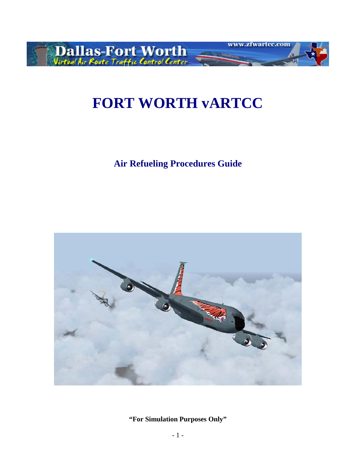

# **FORT WORTH vARTCC**

**Air Refueling Procedures Guide** 

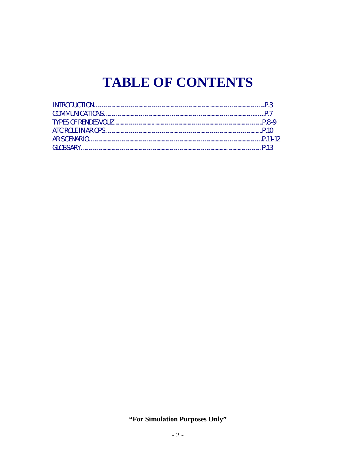# **TABLE OF CONTENTS**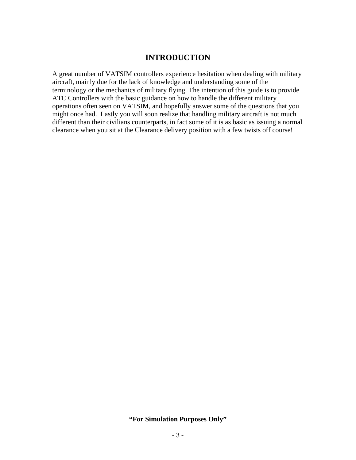# **INTRODUCTION**

A great number of VATSIM controllers experience hesitation when dealing with military aircraft, mainly due for the lack of knowledge and understanding some of the terminology or the mechanics of military flying. The intention of this guide is to provide ATC Controllers with the basic guidance on how to handle the different military operations often seen on VATSIM, and hopefully answer some of the questions that you might once had. Lastly you will soon realize that handling military aircraft is not much different than their civilians counterparts, in fact some of it is as basic as issuing a normal clearance when you sit at the Clearance delivery position with a few twists off course!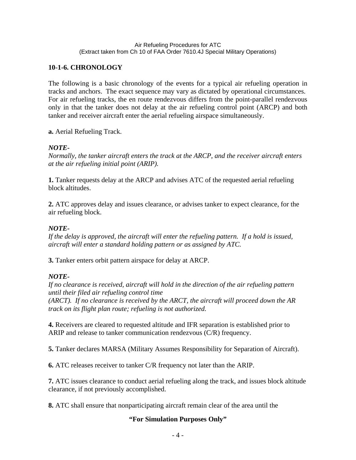#### Air Refueling Procedures for ATC (Extract taken from Ch 10 of FAA Order 7610.4J Special Military Operations)

# **10-1-6. CHRONOLOGY**

The following is a basic chronology of the events for a typical air refueling operation in tracks and anchors. The exact sequence may vary as dictated by operational circumstances. For air refueling tracks, the en route rendezvous differs from the point-parallel rendezvous only in that the tanker does not delay at the air refueling control point (ARCP) and both tanker and receiver aircraft enter the aerial refueling airspace simultaneously.

## **a.** Aerial Refueling Track.

# *NOTE-*

*Normally, the tanker aircraft enters the track at the ARCP, and the receiver aircraft enters at the air refueling initial point (ARIP).*

**1.** Tanker requests delay at the ARCP and advises ATC of the requested aerial refueling block altitudes.

**2.** ATC approves delay and issues clearance, or advises tanker to expect clearance, for the air refueling block.

# *NOTE-*

*If the delay is approved, the aircraft will enter the refueling pattern. If a hold is issued, aircraft will enter a standard holding pattern or as assigned by ATC.*

**3.** Tanker enters orbit pattern airspace for delay at ARCP.

# *NOTE-*

*If no clearance is received, aircraft will hold in the direction of the air refueling pattern until their filed air refueling control time* 

*(ARCT). If no clearance is received by the ARCT, the aircraft will proceed down the AR track on its flight plan route; refueling is not authorized.*

**4.** Receivers are cleared to requested altitude and IFR separation is established prior to ARIP and release to tanker communication rendezvous (C/R) frequency.

**5.** Tanker declares MARSA (Military Assumes Responsibility for Separation of Aircraft).

**6.** ATC releases receiver to tanker C/R frequency not later than the ARIP.

**7.** ATC issues clearance to conduct aerial refueling along the track, and issues block altitude clearance, if not previously accomplished.

**8.** ATC shall ensure that nonparticipating aircraft remain clear of the area until the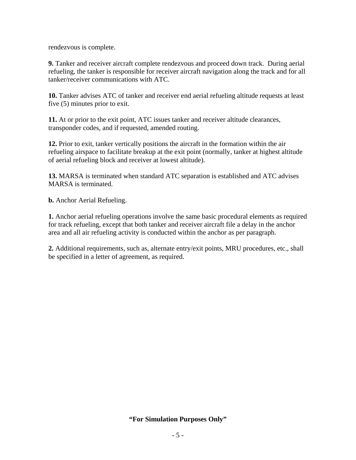rendezvous is complete.

**9.** Tanker and receiver aircraft complete rendezvous and proceed down track. During aerial refueling, the tanker is responsible for receiver aircraft navigation along the track and for all tanker/receiver communications with ATC.

**10.** Tanker advises ATC of tanker and receiver end aerial refueling altitude requests at least five (5) minutes prior to exit.

**11.** At or prior to the exit point, ATC issues tanker and receiver altitude clearances, transponder codes, and if requested, amended routing.

**12.** Prior to exit, tanker vertically positions the aircraft in the formation within the air refueling airspace to facilitate breakup at the exit point (normally, tanker at highest altitude of aerial refueling block and receiver at lowest altitude).

**13.** MARSA is terminated when standard ATC separation is established and ATC advises MARSA is terminated.

**b.** Anchor Aerial Refueling.

**1.** Anchor aerial refueling operations involve the same basic procedural elements as required for track refueling, except that both tanker and receiver aircraft file a delay in the anchor area and all air refueling activity is conducted within the anchor as per paragraph.

**2.** Additional requirements, such as, alternate entry/exit points, MRU procedures, etc., shall be specified in a letter of agreement, as required.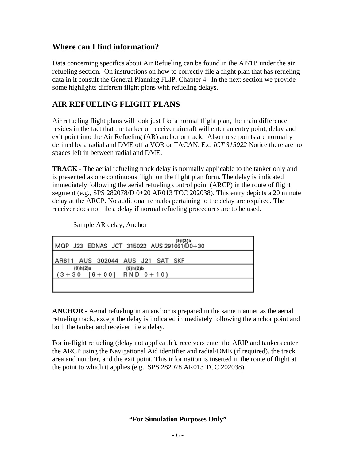# **Where can I find information?**

Data concerning specifics about Air Refueling can be found in the AP/1B under the air refueling section. On instructions on how to correctly file a flight plan that has refueling data in it consult the General Planning FLIP, Chapter 4. In the next section we provide some highlights different flight plans with refueling delays.

# **AIR REFUELING FLIGHT PLANS**

Air refueling flight plans will look just like a normal flight plan, the main difference resides in the fact that the tanker or receiver aircraft will enter an entry point, delay and exit point into the Air Refueling (AR) anchor or track. Also these points are normally defined by a radial and DME off a VOR or TACAN. Ex. *JCT 315022* Notice there are no spaces left in between radial and DME.

**TRACK** - The aerial refueling track delay is normally applicable to the tanker only and is presented as one continuous flight on the flight plan form. The delay is indicated immediately following the aerial refueling control point (ARCP) in the route of flight segment (e.g., SPS 282078/D 0+20 AR013 TCC 202038). This entry depicts a 20 minute delay at the ARCP. No additional remarks pertaining to the delay are required. The receiver does not file a delay if normal refueling procedures are to be used.

Sample AR delay, Anchor

| $(9)$ i $(3)$ b<br>MQP J23 EDNAS JCT 315022 AUS 291061/D0+30 |
|--------------------------------------------------------------|
| AR611 AUS 302044 AUS J21 SAT SKF                             |
| (9)h(2)a<br>(9)h(2)b<br>$(3+30 [6+00] RND 0+10)$             |
|                                                              |

**ANCHOR** - Aerial refueling in an anchor is prepared in the same manner as the aerial refueling track, except the delay is indicated immediately following the anchor point and both the tanker and receiver file a delay.

For in-flight refueling (delay not applicable), receivers enter the ARIP and tankers enter the ARCP using the Navigational Aid identifier and radial/DME (if required), the track area and number, and the exit point. This information is inserted in the route of flight at the point to which it applies (e.g., SPS 282078 AR013 TCC 202038).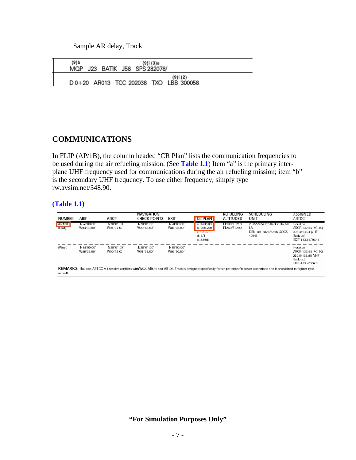Sample AR delay, Track

| (9) b<br>MOP | J23 | BATIK J58 SPS 282078/ | (9)i (3)a |                                                    |  |
|--------------|-----|-----------------------|-----------|----------------------------------------------------|--|
|              |     |                       |           | (9)i (2)<br>D 0+20 AR013 TCC 202038 TXO LBB 300058 |  |

# **COMMUNICATIONS**

In FLIP (AP/1B), the column headed "CR Plan" lists the communication frequencies to be used during the air refueling mission. (See **Table 1.1**) Item "a" is the primary interplane UHF frequency used for communications during the air refueling mission; item "b" is the secondary UHF frequency. To use either frequency, simply type rw.avsim.net/348.90.

#### **(Table 1.1)**

| <b>NUMBER</b>          | ARIP                                                                                                                                                                                   | ARCP                    | NAVIGATION<br><b>CHECK POINTS</b> | <b>EXIT</b>             | <b>CR PLAN</b>                                                  | REFUELING<br><b>ALTITUDES</b> | <b>SCHEDULING</b><br><b>UNIT</b>                                             | ASSIGNED<br>ARTCC                                                                   |
|------------------------|----------------------------------------------------------------------------------------------------------------------------------------------------------------------------------------|-------------------------|-----------------------------------|-------------------------|-----------------------------------------------------------------|-------------------------------|------------------------------------------------------------------------------|-------------------------------------------------------------------------------------|
| <b>AR108</b><br>(Last) | N28°00.00'<br>W93°30.00'                                                                                                                                                               | N28°01.00<br>W91°37.00' | N28°01.00<br>W90°18.00            | N28°00.00'<br>W88°25.00 | a. 348.900<br>b. 260.200<br>$C, 1 - 1 - 3$<br>d.3/1<br>e. 33/96 | FL190/FL210<br>FL260/FL290    | 2 OSS/OSOSB Barksdale AFB, Houston<br>LA<br>DSN 781-3828/5396 (SOCS<br>4036) | ARCP-132.65 (KC-10)<br>306.3/133.4 (VHF<br>Back-up)<br>EXIT-133.85/269.5            |
| (West)                 | N28°00.00'<br>W88°25.00'                                                                                                                                                               | N28°01.00'<br>W90°18.00 | N28°01.00<br>W91°37.00'           | N28°00.00'<br>W93°30.00 |                                                                 |                               |                                                                              | Houston<br>ARCP-132.65 (KC-10)<br>269.5/133.85 (VHF<br>Back-up)<br>EXIT-133.4/306.3 |
| aircraft               | <b>REMARKS:</b> Houston ARTCC will resolve conflicts with W92, AR646 and AR103. Track is designed specifically for single tanker/receiver operations and is prohibited to fighter type |                         |                                   |                         |                                                                 |                               |                                                                              |                                                                                     |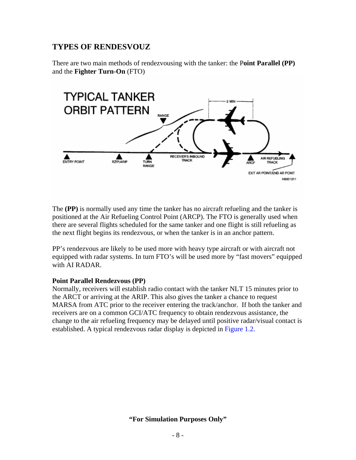# **TYPES OF RENDESVOUZ**

There are two main methods of rendezvousing with the tanker: the P**oint Parallel (PP)**  and the **Fighter Turn-On** (FTO)



The **(PP)** is normally used any time the tanker has no aircraft refueling and the tanker is positioned at the Air Refueling Control Point (ARCP). The FTO is generally used when there are several flights scheduled for the same tanker and one flight is still refueling as the next flight begins its rendezvous, or when the tanker is in an anchor pattern.

PP's rendezvous are likely to be used more with heavy type aircraft or with aircraft not equipped with radar systems. In turn FTO's will be used more by "fast movers" equipped with AI RADAR.

#### **Point Parallel Rendezvous (PP)**

Normally, receivers will establish radio contact with the tanker NLT 15 minutes prior to the ARCT or arriving at the ARIP. This also gives the tanker a chance to request MARSA from ATC prior to the receiver entering the track/anchor. If both the tanker and receivers are on a common GCI/ATC frequency to obtain rendezvous assistance, the change to the air refueling frequency may be delayed until positive radar/visual contact is established. A typical rendezvous radar display is depicted in Figure 1.2.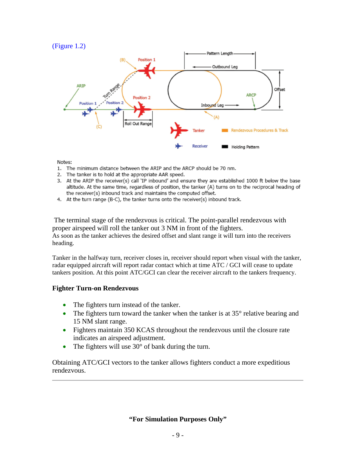#### (Figure 1.2)



Notes:

- 1. The minimum distance between the ARIP and the ARCP should be 70 nm.
- 2. The tanker is to hold at the appropriate AAR speed.
- 3. At the ARIP the receiver(s) call 'IP inbound' and ensure they are established 1000 ft below the base altitude. At the same time, regardless of position, the tanker (A) turns on to the reciprocal heading of the receiver(s) inbound track and maintains the computed offset.
- 4. At the turn range (B-C), the tanker turns onto the receiver(s) inbound track.

 The terminal stage of the rendezvous is critical. The point-parallel rendezvous with proper airspeed will roll the tanker out 3 NM in front of the fighters. As soon as the tanker achieves the desired offset and slant range it will turn into the receivers heading.

Tanker in the halfway turn, receiver closes in, receiver should report when visual with the tanker, radar equipped aircraft will report radar contact which at time ATC / GCI will cease to update tankers position. At this point ATC/GCI can clear the receiver aircraft to the tankers frequency.

#### **Fighter Turn-on Rendezvous**

- The fighters turn instead of the tanker.
- The fighters turn toward the tanker when the tanker is at  $35^{\circ}$  relative bearing and 15 NM slant range.
- Fighters maintain 350 KCAS throughout the rendezvous until the closure rate indicates an airspeed adjustment.
- The fighters will use  $30^{\circ}$  of bank during the turn.

Obtaining ATC/GCI vectors to the tanker allows fighters conduct a more expeditious rendezvous.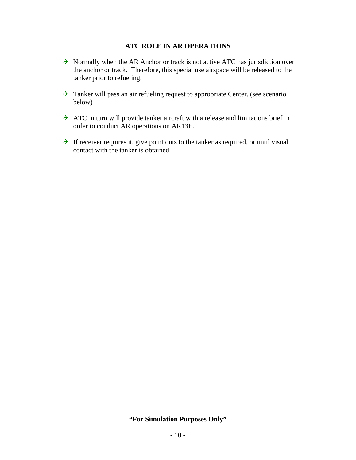#### **ATC ROLE IN AR OPERATIONS**

- $\rightarrow$  Normally when the AR Anchor or track is not active ATC has jurisdiction over the anchor or track. Therefore, this special use airspace will be released to the tanker prior to refueling.
- $\rightarrow$  Tanker will pass an air refueling request to appropriate Center. (see scenario below)
- $\rightarrow$  ATC in turn will provide tanker aircraft with a release and limitations brief in order to conduct AR operations on AR13E.
- $\rightarrow$  If receiver requires it, give point outs to the tanker as required, or until visual contact with the tanker is obtained.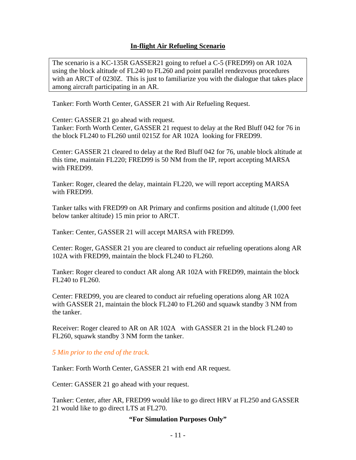## **In-flight Air Refueling Scenario**

The scenario is a KC-135R GASSER21 going to refuel a C-5 (FRED99) on AR 102A using the block altitude of FL240 to FL260 and point parallel rendezvous procedures with an ARCT of 0230Z. This is just to familiarize you with the dialogue that takes place among aircraft participating in an AR.

Tanker: Forth Worth Center, GASSER 21 with Air Refueling Request.

Center: GASSER 21 go ahead with request.

Tanker: Forth Worth Center, GASSER 21 request to delay at the Red Bluff 042 for 76 in the block FL240 to FL260 until 0215Z for AR 102A looking for FRED99.

Center: GASSER 21 cleared to delay at the Red Bluff 042 for 76, unable block altitude at this time, maintain FL220; FRED99 is 50 NM from the IP, report accepting MARSA with FRED99.

Tanker: Roger, cleared the delay, maintain FL220, we will report accepting MARSA with FRED99.

Tanker talks with FRED99 on AR Primary and confirms position and altitude (1,000 feet below tanker altitude) 15 min prior to ARCT.

Tanker: Center, GASSER 21 will accept MARSA with FRED99.

Center: Roger, GASSER 21 you are cleared to conduct air refueling operations along AR 102A with FRED99, maintain the block FL240 to FL260.

Tanker: Roger cleared to conduct AR along AR 102A with FRED99, maintain the block FL240 to FL260.

Center: FRED99, you are cleared to conduct air refueling operations along AR 102A with GASSER 21, maintain the block FL240 to FL260 and squawk standby 3 NM from the tanker.

Receiver: Roger cleared to AR on AR 102A with GASSER 21 in the block FL240 to FL260, squawk standby 3 NM form the tanker.

*5 Min prior to the end of the track.* 

Tanker: Forth Worth Center, GASSER 21 with end AR request.

Center: GASSER 21 go ahead with your request.

Tanker: Center, after AR, FRED99 would like to go direct HRV at FL250 and GASSER 21 would like to go direct LTS at FL270.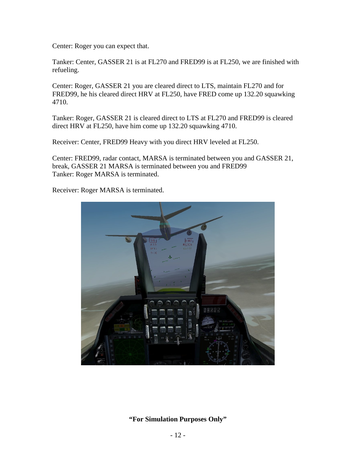Center: Roger you can expect that.

Tanker: Center, GASSER 21 is at FL270 and FRED99 is at FL250, we are finished with refueling.

Center: Roger, GASSER 21 you are cleared direct to LTS, maintain FL270 and for FRED99, he his cleared direct HRV at FL250, have FRED come up 132.20 squawking 4710.

Tanker: Roger, GASSER 21 is cleared direct to LTS at FL270 and FRED99 is cleared direct HRV at FL250, have him come up 132.20 squawking 4710.

Receiver: Center, FRED99 Heavy with you direct HRV leveled at FL250.

Center: FRED99, radar contact, MARSA is terminated between you and GASSER 21, break, GASSER 21 MARSA is terminated between you and FRED99 Tanker: Roger MARSA is terminated.

Receiver: Roger MARSA is terminated.

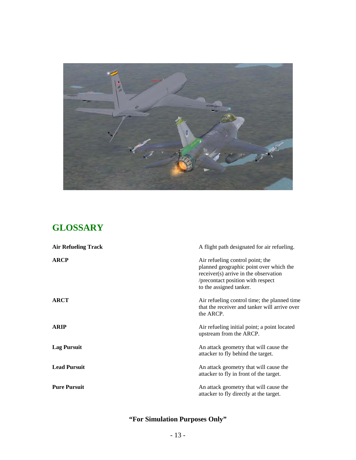

# **GLOSSARY**

| <b>Air Refueling Track</b> | A flight path designated for air refueling.                                                                                                                                          |
|----------------------------|--------------------------------------------------------------------------------------------------------------------------------------------------------------------------------------|
| <b>ARCP</b>                | Air refueling control point; the<br>planned geographic point over which the<br>receiver(s) arrive in the observation<br>/precontact position with respect<br>to the assigned tanker. |
| <b>ARCT</b>                | Air refueling control time; the planned time<br>that the receiver and tanker will arrive over<br>the ARCP.                                                                           |
| <b>ARIP</b>                | Air refueling initial point; a point located<br>upstream from the ARCP.                                                                                                              |
| <b>Lag Pursuit</b>         | An attack geometry that will cause the<br>attacker to fly behind the target.                                                                                                         |
| <b>Lead Pursuit</b>        | An attack geometry that will cause the<br>attacker to fly in front of the target.                                                                                                    |
| <b>Pure Pursuit</b>        | An attack geometry that will cause the<br>attacker to fly directly at the target.                                                                                                    |